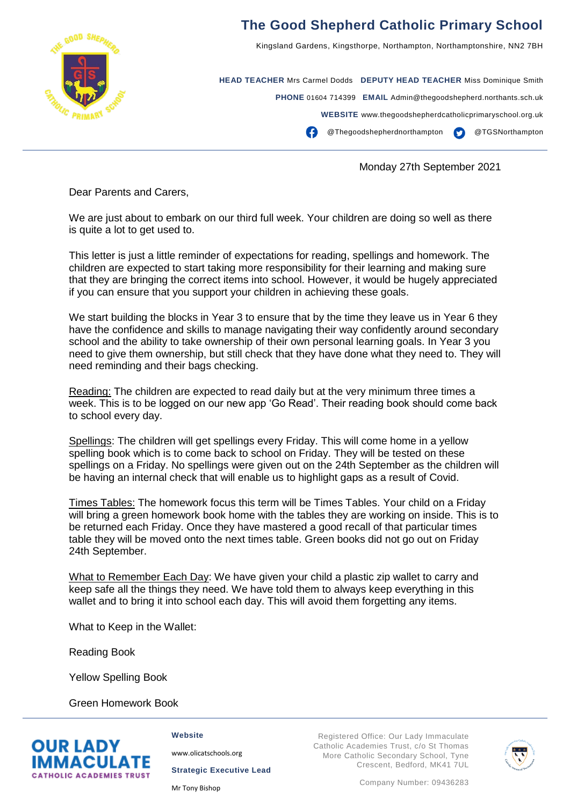

## **The Good Shepherd Catholic Primary School**

Kingsland Gardens, Kingsthorpe, Northampton, Northamptonshire, NN2 7BH

**HEAD TEACHER** Mrs Carmel Dodds **DEPUTY HEAD TEACHER** Miss Dominique Smith **PHONE** 01604 714399 **EMAIL** Admin@thegoodshepherd.northants.sch.uk **WEBSITE** www.thegoodshepherdcatholicprimaryschool.org.uk @Thegoodshepherdnorthampton @TGSNorthampton

Monday 27th September 2021

Dear Parents and Carers,

We are just about to embark on our third full week. Your children are doing so well as there is quite a lot to get used to.

This letter is just a little reminder of expectations for reading, spellings and homework. The children are expected to start taking more responsibility for their learning and making sure that they are bringing the correct items into school. However, it would be hugely appreciated if you can ensure that you support your children in achieving these goals.

We start building the blocks in Year 3 to ensure that by the time they leave us in Year 6 they have the confidence and skills to manage navigating their way confidently around secondary school and the ability to take ownership of their own personal learning goals. In Year 3 you need to give them ownership, but still check that they have done what they need to. They will need reminding and their bags checking.

Reading: The children are expected to read daily but at the very minimum three times a week. This is to be logged on our new app 'Go Read'. Their reading book should come back to school every day.

Spellings: The children will get spellings every Friday. This will come home in a yellow spelling book which is to come back to school on Friday. They will be tested on these spellings on a Friday. No spellings were given out on the 24th September as the children will be having an internal check that will enable us to highlight gaps as a result of Covid.

Times Tables: The homework focus this term will be Times Tables. Your child on a Friday will bring a green homework book home with the tables they are working on inside. This is to be returned each Friday. Once they have mastered a good recall of that particular times table they will be moved onto the next times table. Green books did not go out on Friday 24th September.

What to Remember Each Day: We have given your child a plastic zip wallet to carry and keep safe all the things they need. We have told them to always keep everything in this wallet and to bring it into school each day. This will avoid them forgetting any items.

What to Keep in the Wallet:

Reading Book

Yellow Spelling Book

Green Homework Book



**Website**

[www.olicatschools.org](http://www.olicatschools.org/)

**Strategic Executive Lead**

Mr Tony Bishop

Registered Office: Our Lady Immaculate Catholic Academies Trust, c/o St Thomas More Catholic Secondary School, Tyne Crescent, Bedford, MK41 7UL